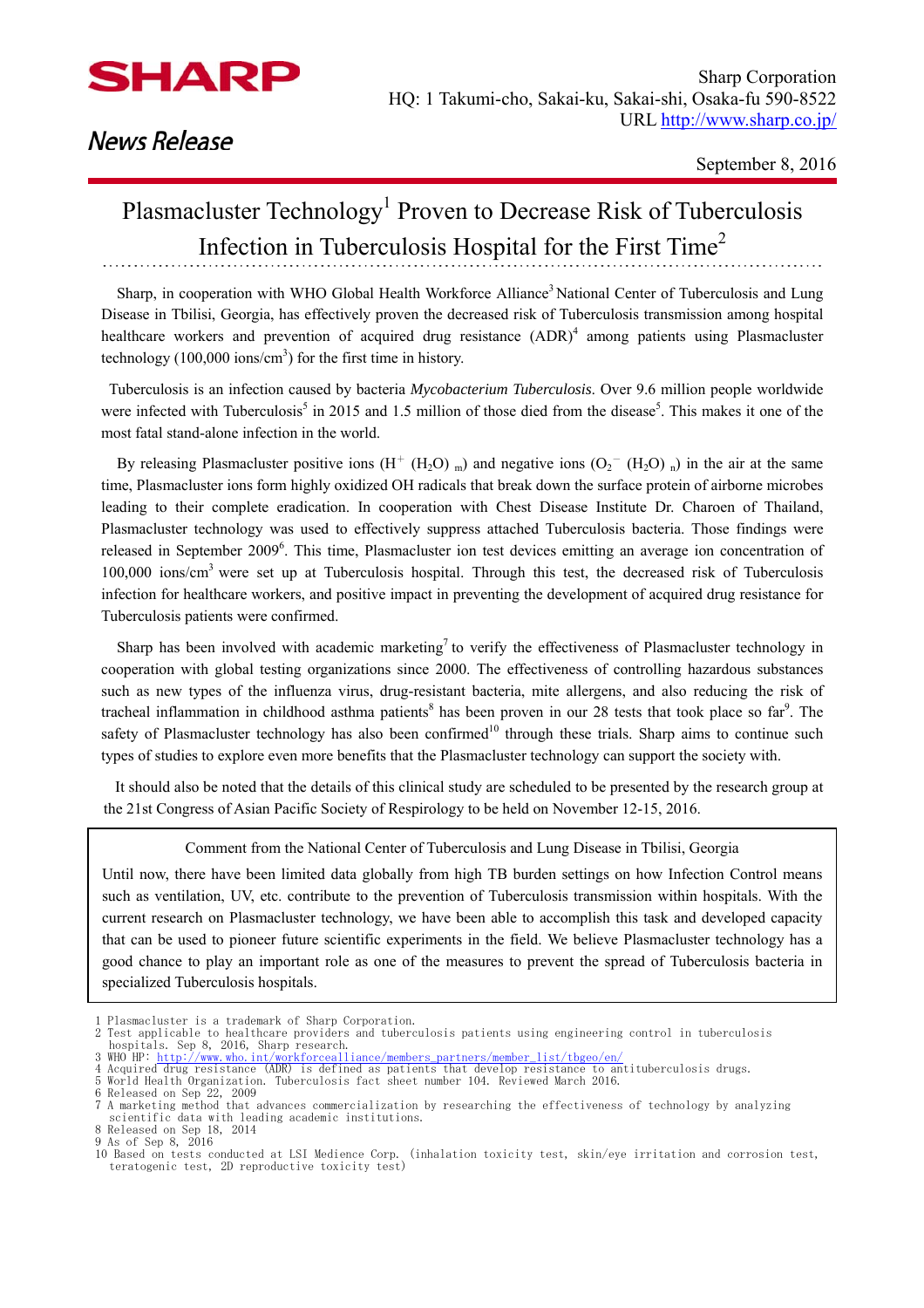

## **News Release**

## Plasmacluster Technology<sup>1</sup> Proven to Decrease Risk of Tuberculosis Infection in Tuberculosis Hospital for the First Time2

Sharp, in cooperation with WHO Global Health Workforce Alliance<sup>3</sup> National Center of Tuberculosis and Lung Disease in Tbilisi, Georgia, has effectively proven the decreased risk of Tuberculosis transmission among hospital healthcare workers and prevention of acquired drug resistance  $(ADR)^4$  among patients using Plasmacluster technology  $(100,000 \text{ ions/cm}^3)$  for the first time in history.

 Tuberculosis is an infection caused by bacteria *Mycobacterium Tuberculosis*. Over 9.6 million people worldwide were infected with Tuberculosis<sup>5</sup> in 2015 and 1.5 million of those died from the disease<sup>5</sup>. This makes it one of the most fatal stand-alone infection in the world.

By releasing Plasmacluster positive ions  $(H^+(H_2O)_{m})$  and negative ions  $(O_2^-(H_2O)_{n})$  in the air at the same time, Plasmacluster ions form highly oxidized OH radicals that break down the surface protein of airborne microbes leading to their complete eradication. In cooperation with Chest Disease Institute Dr. Charoen of Thailand, Plasmacluster technology was used to effectively suppress attached Tuberculosis bacteria. Those findings were released in September 2009<sup>6</sup>. This time, Plasmacluster ion test devices emitting an average ion concentration of 100,000 ions/cm3 were set up at Tuberculosis hospital. Through this test, the decreased risk of Tuberculosis infection for healthcare workers, and positive impact in preventing the development of acquired drug resistance for Tuberculosis patients were confirmed.

Sharp has been involved with academic marketing<sup>7</sup> to verify the effectiveness of Plasmacluster technology in cooperation with global testing organizations since 2000. The effectiveness of controlling hazardous substances such as new types of the influenza virus, drug-resistant bacteria, mite allergens, and also reducing the risk of tracheal inflammation in childhood asthma patients<sup>8</sup> has been proven in our 28 tests that took place so far<sup>9</sup>. The safety of Plasmacluster technology has also been confirmed<sup>10</sup> through these trials. Sharp aims to continue such types of studies to explore even more benefits that the Plasmacluster technology can support the society with.

It should also be noted that the details of this clinical study are scheduled to be presented by the research group at the 21st Congress of Asian Pacific Society of Respirology to be held on November 12-15, 2016.

Comment from the National Center of Tuberculosis and Lung Disease in Tbilisi, Georgia

Until now, there have been limited data globally from high TB burden settings on how Infection Control means such as ventilation, UV, etc. contribute to the prevention of Tuberculosis transmission within hospitals. With the current research on Plasmacluster technology, we have been able to accomplish this task and developed capacity that can be used to pioneer future scientific experiments in the field. We believe Plasmacluster technology has a good chance to play an important role as one of the measures to prevent the spread of Tuberculosis bacteria in specialized Tuberculosis hospitals.

6 Released on Sep 22, 2009

9 As of Sep 8, 2016

<sup>1</sup> Plasmacluster is a trademark of Sharp Corporation.

<sup>2</sup> Test applicable to healthcare providers and tuberculosis patients using engineering control in tuberculosis hospitals. Sep 8, 2016, Sharp research.<br>3 WHO HP: <u>http://www.who.int/workforcealliance/members\_partners/member\_list/tbgeo/en/</u><br>4 Acquired drug resistance (ADR) is defined as patients that develop resistance to antitubercu

<sup>7</sup> A marketing method that advances commercialization by researching the effectiveness of technology by analyzing scientific data with leading academic institutions. 8 Released on Sep 18, 2014

<sup>10</sup> Based on tests conducted at LSI Medience Corp. (inhalation toxicity test, skin/eye irritation and corrosion test, teratogenic test, 2D reproductive toxicity test)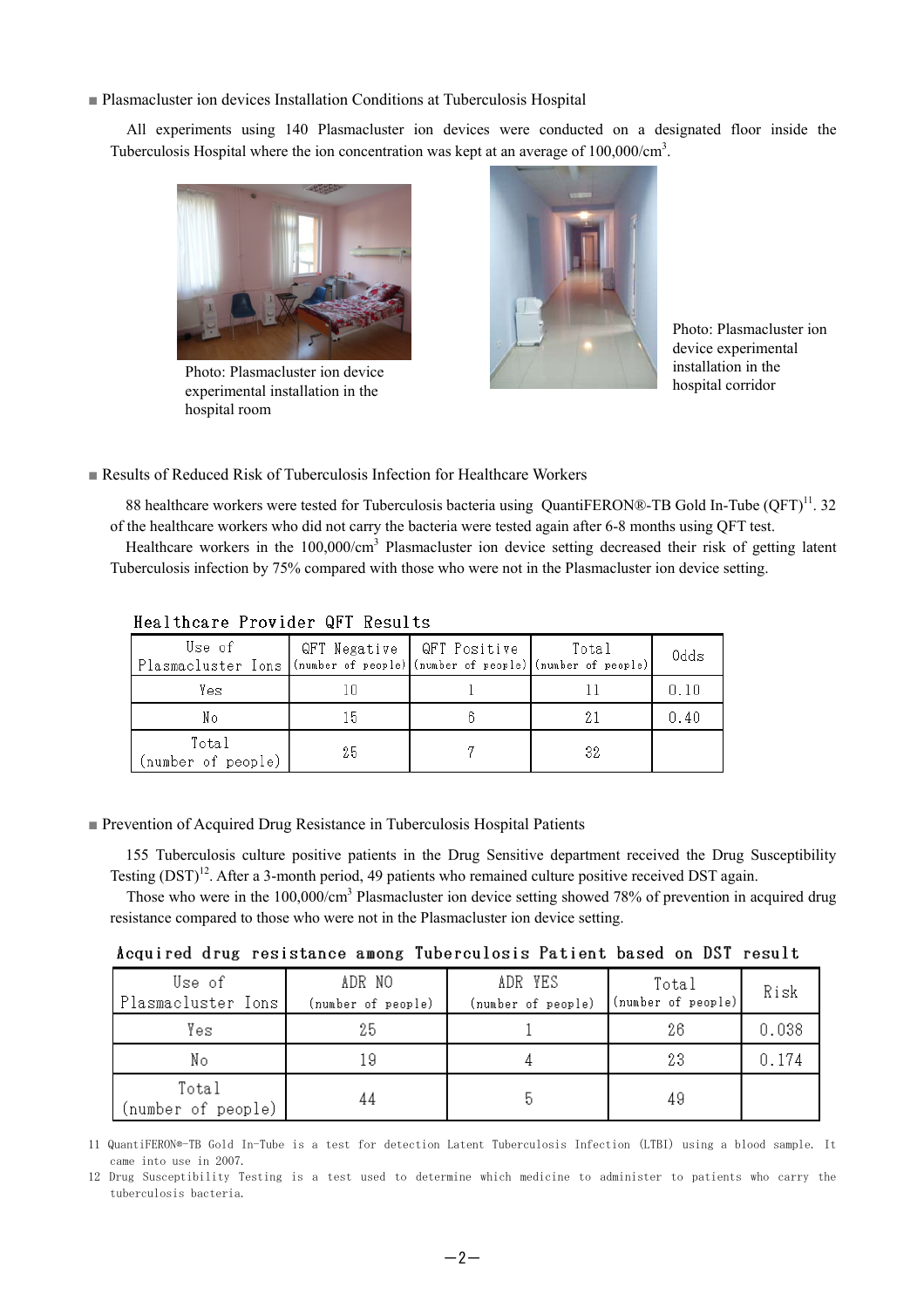■ Plasmacluster ion devices Installation Conditions at Tuberculosis Hospital

All experiments using 140 Plasmacluster ion devices were conducted on a designated floor inside the Tuberculosis Hospital where the ion concentration was kept at an average of  $100,000/cm<sup>3</sup>$ .



Photo: Plasmacluster ion device experimental installation in the hospital room



Photo: Plasmacluster ion device experimental installation in the hospital corridor

#### ■ Results of Reduced Risk of Tuberculosis Infection for Healthcare Workers

88 healthcare workers were tested for Tuberculosis bacteria using OuantiFERON®-TB Gold In-Tube (OFT)<sup>11</sup>. 32 of the healthcare workers who did not carry the bacteria were tested again after 6-8 months using QFT test. Healthcare workers in the 100,000/cm<sup>3</sup> Plasmacluster ion device setting decreased their risk of getting latent

Tuberculosis infection by 75% compared with those who were not in the Plasmacluster ion device setting.

| Use of<br>Plasmacluster Ions (number of people) (number of people) (number of people) | QFT Negative   QFT Positive | Total | Odds |
|---------------------------------------------------------------------------------------|-----------------------------|-------|------|
| Yes                                                                                   |                             |       |      |
| Nо                                                                                    | 15                          |       | 0.40 |
| Total<br>(number of people)                                                           | 25                          | 32    |      |

#### Healthcare Provider QFT Results

#### ■ Prevention of Acquired Drug Resistance in Tuberculosis Hospital Patients

155 Tuberculosis culture positive patients in the Drug Sensitive department received the Drug Susceptibility Testing (DST)<sup>12</sup>. After a 3-month period, 49 patients who remained culture positive received DST again.

Those who were in the 100,000/cm<sup>3</sup> Plasmacluster ion device setting showed 78% of prevention in acquired drug resistance compared to those who were not in the Plasmacluster ion device setting.

|  |  | Acquired drug resistance among Tuberculosis Patient based on DST result |  |  |  |  |  |  |  |  |  |
|--|--|-------------------------------------------------------------------------|--|--|--|--|--|--|--|--|--|
|--|--|-------------------------------------------------------------------------|--|--|--|--|--|--|--|--|--|

| Use of<br>Plasmacluster Ions | ADR NO<br>(number of people) | ADR YES<br>(number of people) | Total<br>(number of people) | Risk  |
|------------------------------|------------------------------|-------------------------------|-----------------------------|-------|
| Yes                          | 25                           |                               | 26                          | 0.038 |
| Nο                           |                              |                               | 23                          | 0.174 |
| Total<br>(number of people)  |                              |                               | 49                          |       |

11 QuantiFERON®-TB Gold In-Tube is a test for detection Latent Tuberculosis Infection (LTBI) using a blood sample. It came into use in 2007.

12 Drug Susceptibility Testing is a test used to determine which medicine to administer to patients who carry the tuberculosis bacteria.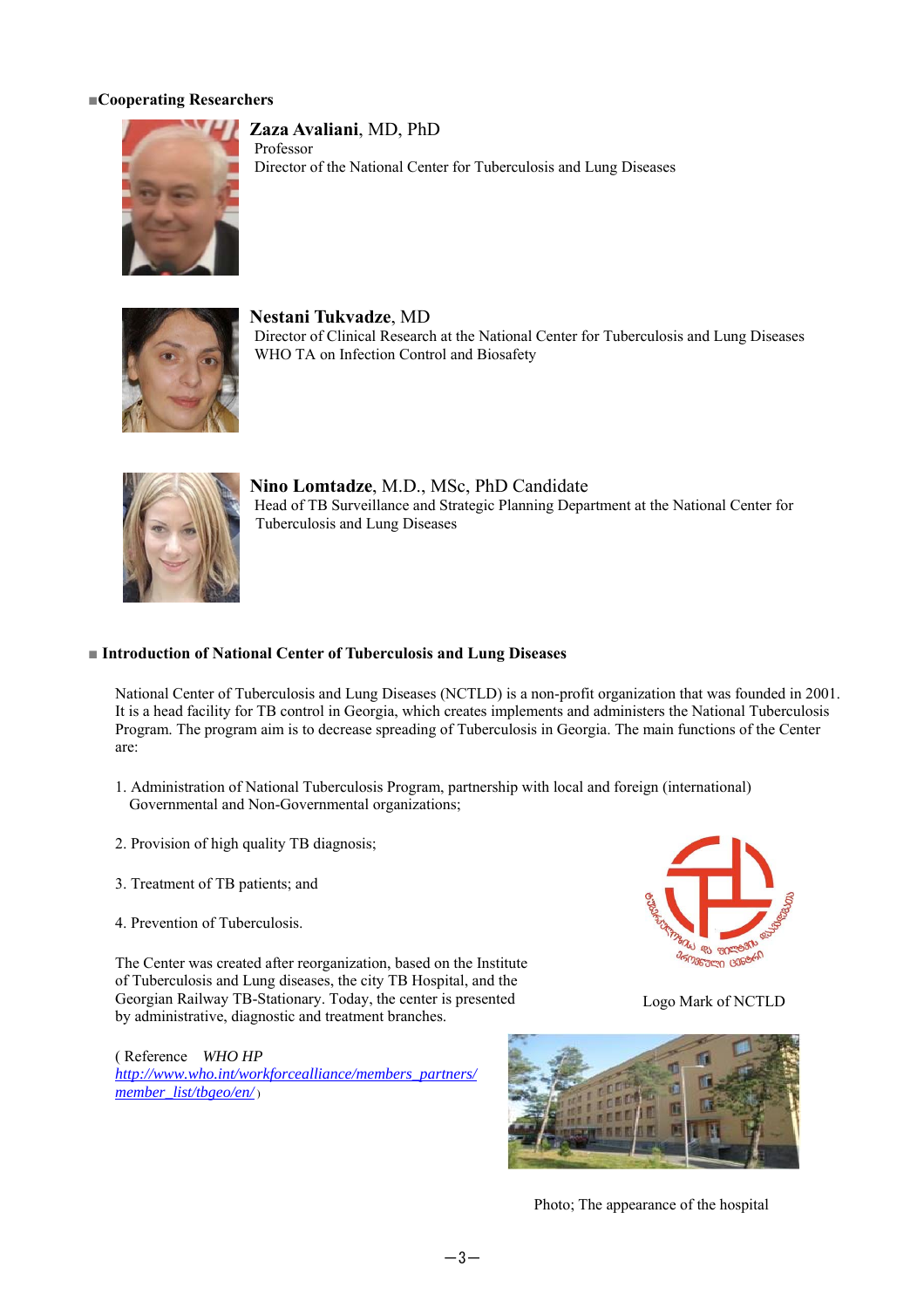#### **■Cooperating Researchers**



**Zaza Avaliani**, MD, PhD Professor Director of the National Center for Tuberculosis and Lung Diseases



**Nestani Tukvadze**, MD Director of Clinical Research at the National Center for Tuberculosis and Lung Diseases WHO TA on Infection Control and Biosafety



**Nino Lomtadze**, M.D., MSc, PhD Candidate Head of TB Surveillance and Strategic Planning Department at the National Center for Tuberculosis and Lung Diseases

#### ■ **Introduction of National Center of Tuberculosis and Lung Diseases**

National Center of Tuberculosis and Lung Diseases (NCTLD) is a non-profit organization that was founded in 2001. It is a head facility for TB control in Georgia, which creates implements and administers the National Tuberculosis Program. The program aim is to decrease spreading of Tuberculosis in Georgia. The main functions of the Center are:

- 1. Administration of National Tuberculosis Program, partnership with local and foreign (international) Governmental and Non-Governmental organizations;
- 2. Provision of high quality TB diagnosis;
- 3. Treatment of TB patients; and
- 4. Prevention of Tuberculosis.

The Center was created after reorganization, based on the Institute of Tuberculosis and Lung diseases, the city TB Hospital, and the Georgian Railway TB-Stationary. Today, the center is presented by administrative, diagnostic and treatment branches.

( Reference *WHO HP http://www.who.int/workforcealliance/members\_partners/ member\_list/tbgeo/en/* )



Logo Mark of NCTLD



Photo; The appearance of the hospital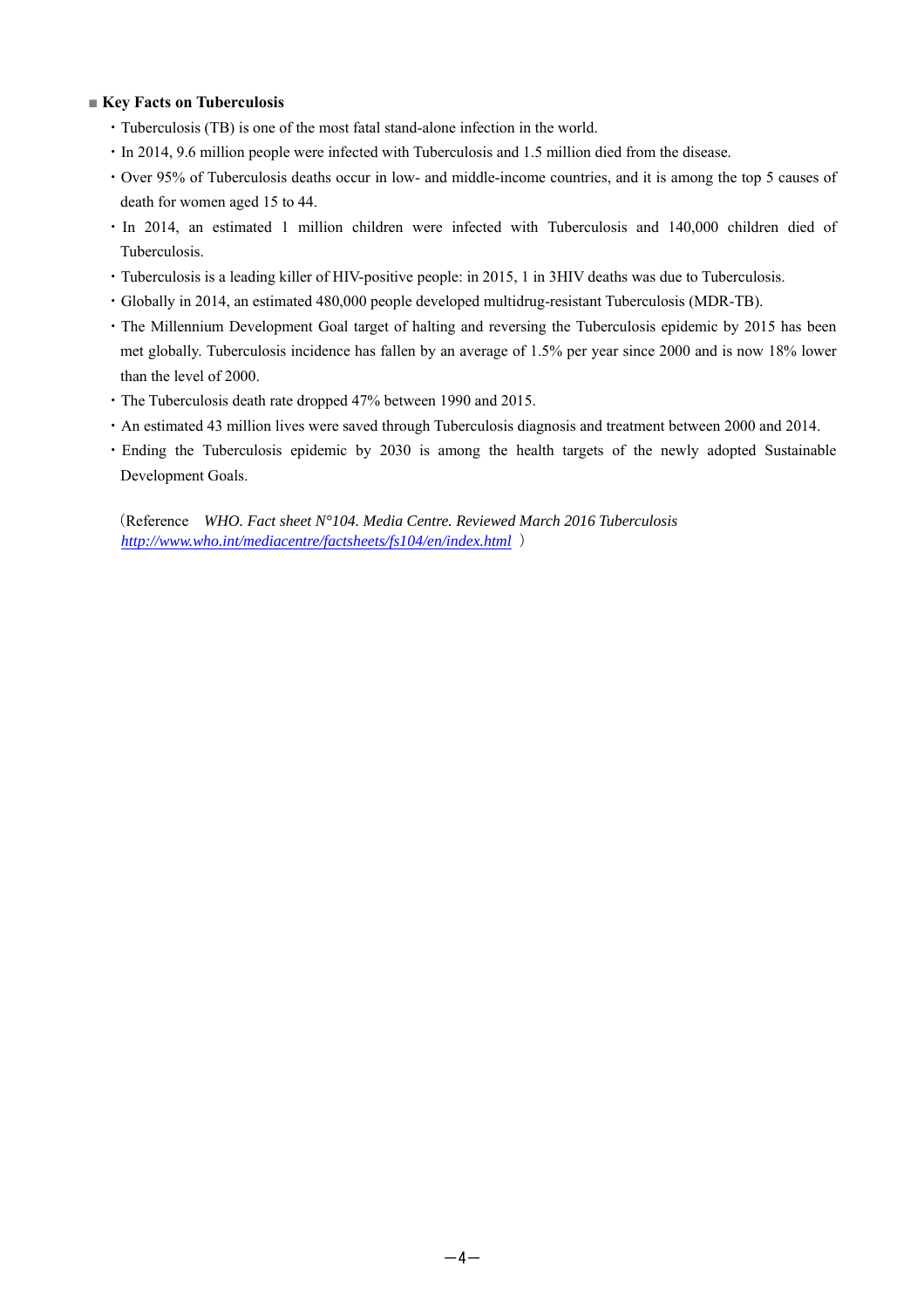#### ■ **Key Facts on Tuberculosis**

- ・Tuberculosis (TB) is one of the most fatal stand-alone infection in the world.
- ・In 2014, 9.6 million people were infected with Tuberculosis and 1.5 million died from the disease.
- ・Over 95% of Tuberculosis deaths occur in low- and middle-income countries, and it is among the top 5 causes of death for women aged 15 to 44.
- ・In 2014, an estimated 1 million children were infected with Tuberculosis and 140,000 children died of Tuberculosis.
- ・Tuberculosis is a leading killer of HIV-positive people: in 2015, 1 in 3HIV deaths was due to Tuberculosis.
- ・Globally in 2014, an estimated 480,000 people developed multidrug-resistant Tuberculosis (MDR-TB).
- ・The Millennium Development Goal target of halting and reversing the Tuberculosis epidemic by 2015 has been met globally. Tuberculosis incidence has fallen by an average of 1.5% per year since 2000 and is now 18% lower than the level of 2000.
- ・The Tuberculosis death rate dropped 47% between 1990 and 2015.
- ・An estimated 43 million lives were saved through Tuberculosis diagnosis and treatment between 2000 and 2014.
- ・Ending the Tuberculosis epidemic by 2030 is among the health targets of the newly adopted Sustainable Development Goals.

(Reference *WHO. Fact sheet N°104. Media Centre. Reviewed March 2016 Tuberculosis http://www.who.int/mediacentre/factsheets/fs104/en/index.html* )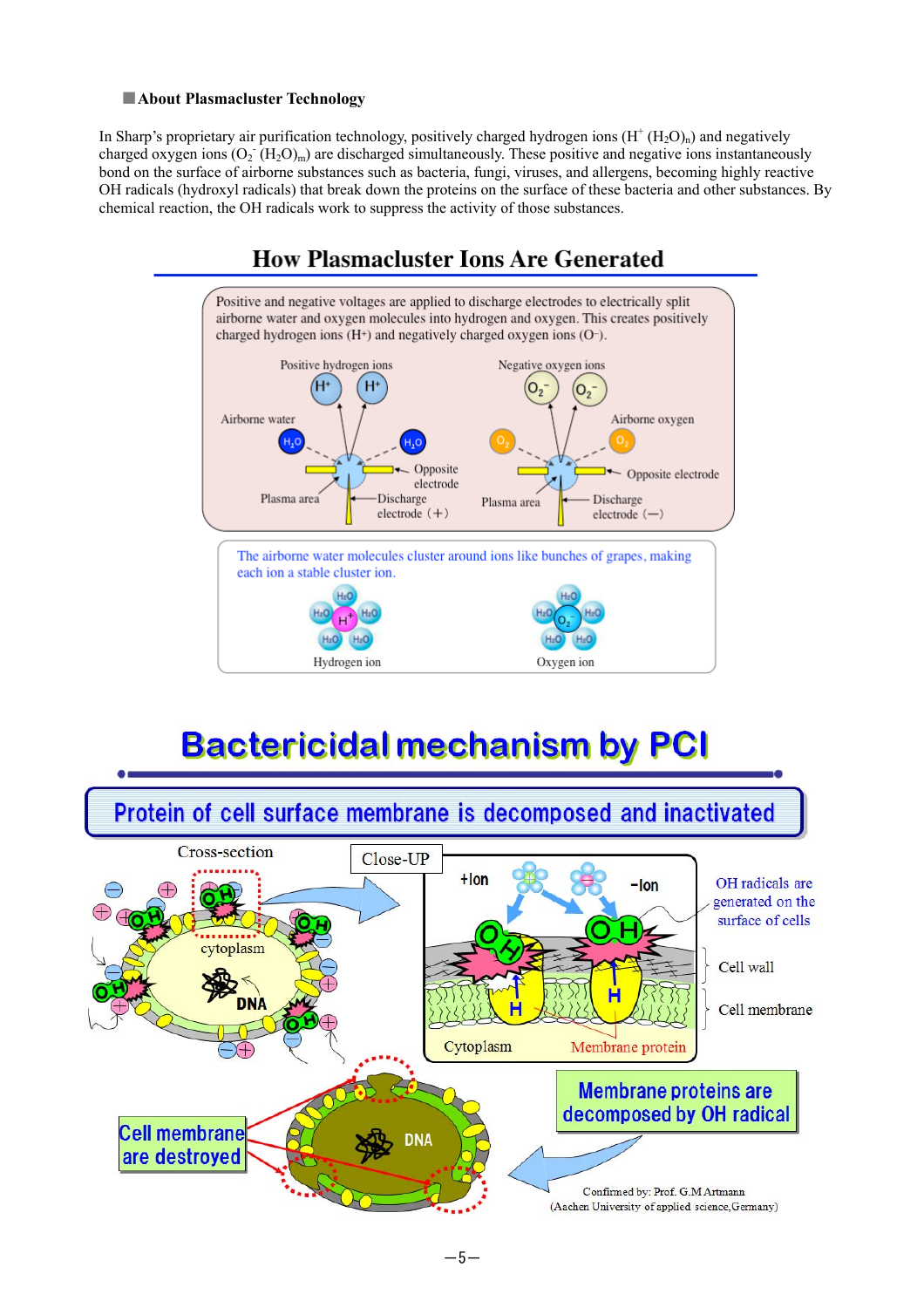#### ■**About Plasmacluster Technology**

In Sharp's proprietary air purification technology, positively charged hydrogen ions  $(H^+(H_2O)_n)$  and negatively charged oxygen ions  $(O_2 \ H_2O)_m$ ) are discharged simultaneously. These positive and negative ions instantaneously bond on the surface of airborne substances such as bacteria, fungi, viruses, and allergens, becoming highly reactive OH radicals (hydroxyl radicals) that break down the proteins on the surface of these bacteria and other substances. By chemical reaction, the OH radicals work to suppress the activity of those substances.



# **Bactericidal mechanism by PCI**



#### $-5-$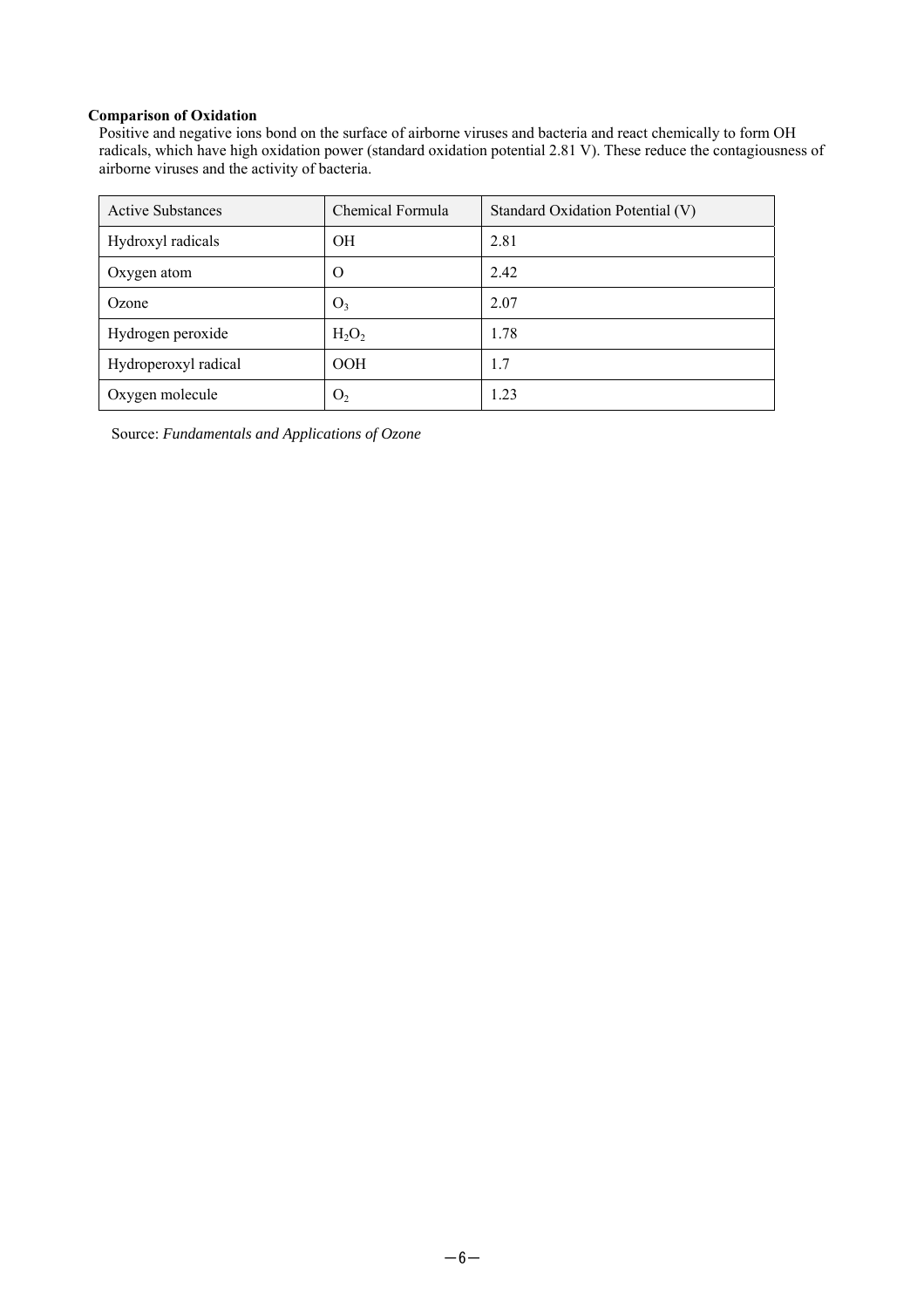#### **Comparison of Oxidation**

Positive and negative ions bond on the surface of airborne viruses and bacteria and react chemically to form OH radicals, which have high oxidation power (standard oxidation potential 2.81 V). These reduce the contagiousness of airborne viruses and the activity of bacteria.

| <b>Active Substances</b> | Chemical Formula | Standard Oxidation Potential (V) |
|--------------------------|------------------|----------------------------------|
| Hydroxyl radicals        | <b>OH</b>        | 2.81                             |
| Oxygen atom              | O                | 2.42                             |
| Ozone                    | O <sub>3</sub>   | 2.07                             |
| Hydrogen peroxide        | $H_2O_2$         | 1.78                             |
| Hydroperoxyl radical     | <b>OOH</b>       | 1.7                              |
| Oxygen molecule          | O <sub>2</sub>   | 1.23                             |

Source: *Fundamentals and Applications of Ozone*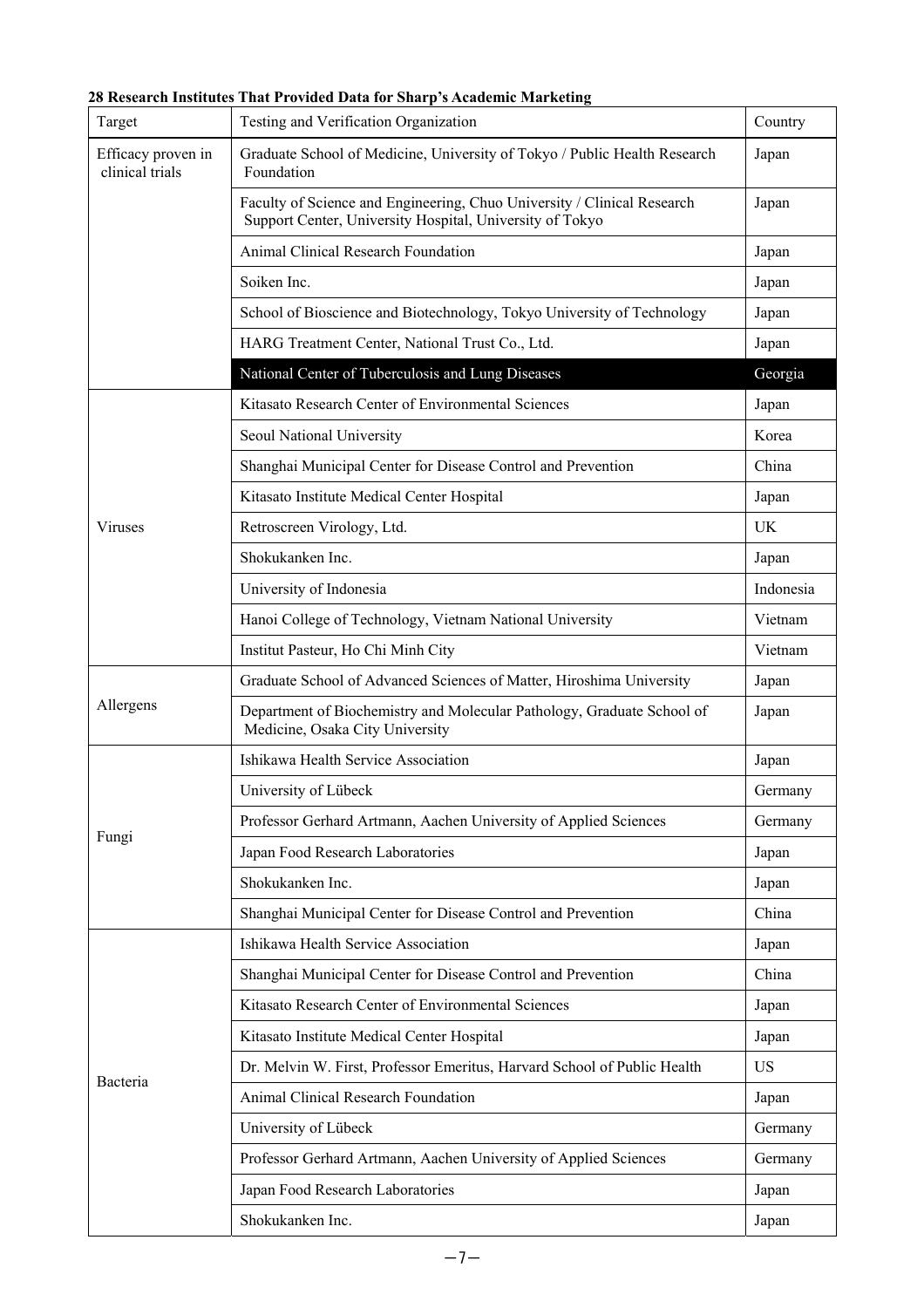### **28 Research Institutes That Provided Data for Sharp's Academic Marketing**

| Target                                | Testing and Verification Organization                                                                                               | Country   |  |
|---------------------------------------|-------------------------------------------------------------------------------------------------------------------------------------|-----------|--|
| Efficacy proven in<br>clinical trials | Graduate School of Medicine, University of Tokyo / Public Health Research<br>Foundation                                             | Japan     |  |
|                                       | Faculty of Science and Engineering, Chuo University / Clinical Research<br>Support Center, University Hospital, University of Tokyo |           |  |
|                                       | Animal Clinical Research Foundation                                                                                                 |           |  |
|                                       | Soiken Inc.                                                                                                                         | Japan     |  |
|                                       | School of Bioscience and Biotechnology, Tokyo University of Technology                                                              | Japan     |  |
|                                       | HARG Treatment Center, National Trust Co., Ltd.                                                                                     |           |  |
|                                       | National Center of Tuberculosis and Lung Diseases                                                                                   |           |  |
|                                       | Kitasato Research Center of Environmental Sciences                                                                                  | Japan     |  |
|                                       | Seoul National University                                                                                                           | Korea     |  |
|                                       | Shanghai Municipal Center for Disease Control and Prevention                                                                        |           |  |
|                                       | Kitasato Institute Medical Center Hospital                                                                                          | Japan     |  |
| <b>Viruses</b>                        | Retroscreen Virology, Ltd.                                                                                                          | UK        |  |
|                                       | Shokukanken Inc.                                                                                                                    | Japan     |  |
|                                       | University of Indonesia                                                                                                             | Indonesia |  |
|                                       | Hanoi College of Technology, Vietnam National University                                                                            | Vietnam   |  |
|                                       | Institut Pasteur, Ho Chi Minh City                                                                                                  | Vietnam   |  |
|                                       | Graduate School of Advanced Sciences of Matter, Hiroshima University                                                                | Japan     |  |
| Allergens                             | Department of Biochemistry and Molecular Pathology, Graduate School of<br>Medicine, Osaka City University                           | Japan     |  |
|                                       | Ishikawa Health Service Association                                                                                                 | Japan     |  |
|                                       | University of Lübeck                                                                                                                | Germany   |  |
|                                       | Professor Gerhard Artmann, Aachen University of Applied Sciences                                                                    | Germany   |  |
| Fungi                                 | Japan Food Research Laboratories                                                                                                    | Japan     |  |
|                                       | Shokukanken Inc.                                                                                                                    | Japan     |  |
|                                       | Shanghai Municipal Center for Disease Control and Prevention                                                                        | China     |  |
|                                       | Ishikawa Health Service Association                                                                                                 | Japan     |  |
|                                       | Shanghai Municipal Center for Disease Control and Prevention                                                                        | China     |  |
|                                       | Kitasato Research Center of Environmental Sciences                                                                                  | Japan     |  |
|                                       | Kitasato Institute Medical Center Hospital                                                                                          | Japan     |  |
|                                       | Dr. Melvin W. First, Professor Emeritus, Harvard School of Public Health                                                            | <b>US</b> |  |
| Bacteria                              | Animal Clinical Research Foundation                                                                                                 | Japan     |  |
|                                       | University of Lübeck                                                                                                                | Germany   |  |
|                                       | Professor Gerhard Artmann, Aachen University of Applied Sciences                                                                    | Germany   |  |
|                                       | Japan Food Research Laboratories                                                                                                    | Japan     |  |
|                                       | Shokukanken Inc.                                                                                                                    | Japan     |  |